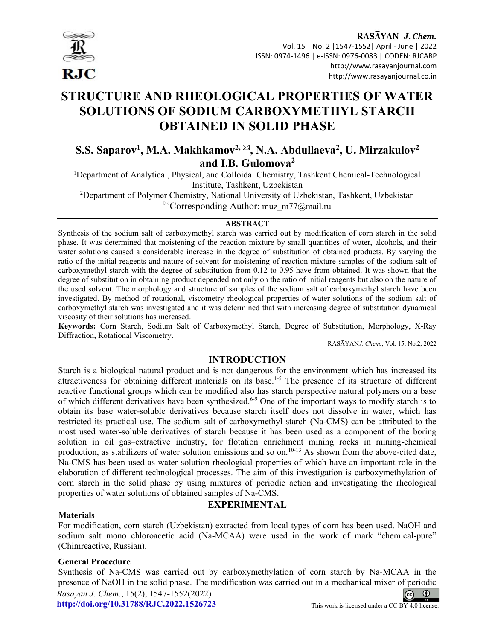

# STRUCTURE AND RHEOLOGICAL PROPERTIES OF WATER SOLUTIONS OF SODIUM CARBOXYMETHYL STARCH OBTAINED IN SOLID PHASE

## S.S. Saparov<sup>1</sup>, M.A. Makhkamov<sup>2, ⊠</sup>, N.A. Abdullaeva<sup>2</sup>, U. Mirzakulov<sup>2</sup> and I.B. Gulomova<sup>2</sup>

<sup>1</sup>Department of Analytical, Physical, and Colloidal Chemistry, Tashkent Chemical-Technological Institute, Tashkent, Uzbekistan

<sup>2</sup>Department of Polymer Chemistry, National University of Uzbekistan, Tashkent, Uzbekistan  $^{\boxtimes}$ Corresponding Author: muz\_m77@mail.ru

## **ABSTRACT**

Synthesis of the sodium salt of carboxymethyl starch was carried out by modification of corn starch in the solid phase. It was determined that moistening of the reaction mixture by small quantities of water, alcohols, and their water solutions caused a considerable increase in the degree of substitution of obtained products. By varying the ratio of the initial reagents and nature of solvent for moistening of reaction mixture samples of the sodium salt of carboxymethyl starch with the degree of substitution from 0.12 to 0.95 have from obtained. It was shown that the degree of substitution in obtaining product depended not only on the ratio of initial reagents but also on the nature of the used solvent. The morphology and structure of samples of the sodium salt of carboxymethyl starch have been investigated. By method of rotational, viscometry rheological properties of water solutions of the sodium salt of carboxymethyl starch was investigated and it was determined that with increasing degree of substitution dynamical viscosity of their solutions has increased.

Keywords: Corn Starch, Sodium Salt of Carboxymethyl Starch, Degree of Substitution, Morphology, X-Ray Diffraction, Rotational Viscometry.

RASĀYANJ. Chem., Vol. 15, No.2, 2022

## INTRODUCTION

Starch is a biological natural product and is not dangerous for the environment which has increased its attractiveness for obtaining different materials on its base.<sup>1-5</sup> The presence of its structure of different reactive functional groups which can be modified also has starch perspective natural polymers on a base of which different derivatives have been synthesized.<sup>6-9</sup> One of the important ways to modify starch is to obtain its base water-soluble derivatives because starch itself does not dissolve in water, which has restricted its practical use. The sodium salt of carboxymethyl starch (Na-CMS) can be attributed to the most used water-soluble derivatives of starch because it has been used as a component of the boring solution in oil gas–extractive industry, for flotation enrichment mining rocks in mining-chemical production, as stabilizers of water solution emissions and so on.<sup>10-13</sup> As shown from the above-cited date, Na-CMS has been used as water solution rheological properties of which have an important role in the elaboration of different technological processes. The aim of this investigation is carboxymethylation of corn starch in the solid phase by using mixtures of periodic action and investigating the rheological properties of water solutions of obtained samples of Na-CMS.

#### **Materials**

## EXPERIMENTAL

For modification, corn starch (Uzbekistan) extracted from local types of corn has been used. NaOH and sodium salt mono chloroacetic acid (Na-MCAA) were used in the work of mark "chemical-pure" (Chimreactive, Russian).

## General Procedure

Synthesis of Na-CMS was carried out by carboxymethylation of corn starch by Na-MCAA in the presence of NaOH in the solid phase. The modification was carried out in a mechanical mixer of periodic Rasayan J. Chem., 15(2), 1547-1552(2022)  $\boxed{6}$ http://doi.org/10.31788/RJC.2022.1526723 This work is licensed under a CC BY 4.0 license.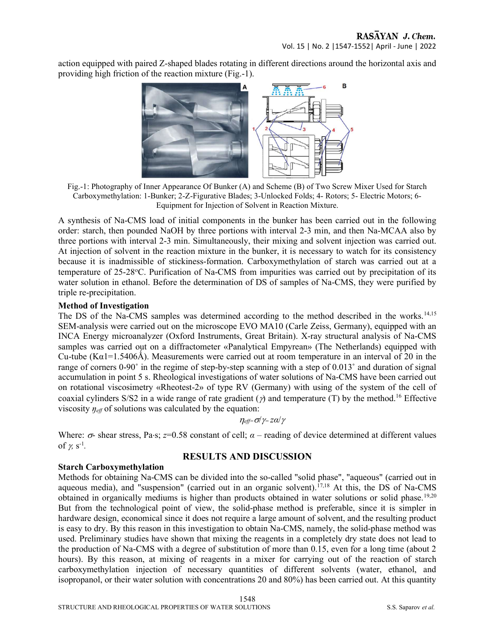action equipped with paired Z-shaped blades rotating in different directions around the horizontal axis and providing high friction of the reaction mixture (Fig.-1).



Fig.-1: Photography of Inner Appearance Of Bunker (A) and Scheme (B) of Two Screw Mixer Used for Starch Carboxymethylation: 1-Bunker; 2-Z-Figurative Blades; 3-Unlocked Folds; 4- Rotors; 5- Electric Motors; 6- Equipment for Injection of Solvent in Reaction Mixture.

A synthesis of Na-CMS load of initial components in the bunker has been carried out in the following order: starch, then pounded NaOH by three portions with interval 2-3 min, and then Na-MCAA also by three portions with interval 2-3 min. Simultaneously, their mixing and solvent injection was carried out. At injection of solvent in the reaction mixture in the bunker, it is necessary to watch for its consistency because it is inadmissible of stickiness-formation. Carboxymethylation of starch was carried out at a temperature of 25-28С. Purification of Na-CMS from impurities was carried out by precipitation of its water solution in ethanol. Before the determination of DS of samples of Na-CMS, they were purified by triple re-precipitation.

## Method of Investigation

The DS of the Na-CMS samples was determined according to the method described in the works.<sup>14,15</sup> SEM-analysis were carried out on the microscope EVO MA10 (Carle Zeiss, Germany), equipped with an INCA Energy microanalyzer (Oxford Instruments, Great Britain). X-ray structural analysis of Na-CMS samples was carried out on a diffractometer «Panalytical Empyrean» (The Netherlands) equipped with Cu-tube (K $\alpha$ 1=1.5406Å). Measurements were carried out at room temperature in an interval of 20 in the range of corners 0-90° in the regime of step-by-step scanning with a step of 0.013° and duration of signal accumulation in point 5 s. Rheological investigations of water solutions of Na-CMS have been carried out on rotational viscosimetry «Rheotest-2» of type RV (Germany) with using of the system of the cell of coaxial cylinders S/S2 in a wide range of rate gradient ( $\gamma$ ) and temperature (T) by the method.<sup>16</sup> Effective viscosity  $\eta_{\text{eff}}$  of solutions was calculated by the equation:

 $\eta_{\text{eff}} = \sigma / \gamma = z \alpha / \gamma$ 

Where:  $\sigma$ - shear stress, Pa·s;  $z=0.58$  constant of cell;  $\alpha$  – reading of device determined at different values of  $\chi$  s<sup>-1</sup>.

## RESULTS AND DISCUSSION

## Starch Carboxymethylation

Methods for obtaining Na-CMS can be divided into the so-called "solid phase", "aqueous" (carried out in aqueous media), and "suspension" (carried out in an organic solvent).<sup>17,18</sup> At this, the DS of Na-CMS obtained in organically mediums is higher than products obtained in water solutions or solid phase.<sup>19,20</sup> But from the technological point of view, the solid-phase method is preferable, since it is simpler in hardware design, economical since it does not require a large amount of solvent, and the resulting product is easy to dry. By this reason in this investigation to obtain Na-CMS, namely, the solid-phase method was used. Preliminary studies have shown that mixing the reagents in a completely dry state does not lead to the production of Na-CMS with a degree of substitution of more than 0.15, even for a long time (about 2 hours). By this reason, at mixing of reagents in a mixer for carrying out of the reaction of starch carboxymethylation injection of necessary quantities of different solvents (water, ethanol, and isopropanol, or their water solution with concentrations 20 and 80%) has been carried out. At this quantity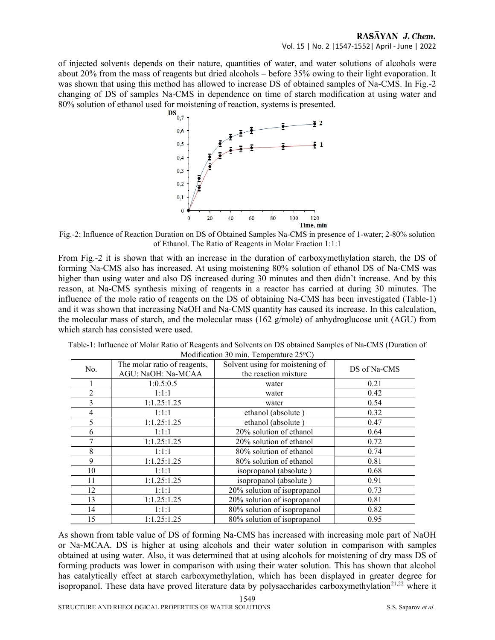of injected solvents depends on their nature, quantities of water, and water solutions of alcohols were about 20% from the mass of reagents but dried alcohols – before 35% owing to their light evaporation. It was shown that using this method has allowed to increase DS of obtained samples of Na-CMS. In Fig.-2 changing of DS of samples Na-CMS in dependence on time of starch modification at using water and 80% solution of ethanol used for moistening of reaction, systems is presented.<br> $DS_{0.7}$ ,



Fig.-2: Influence of Reaction Duration on DS of Obtained Samples Na-CMS in presence of 1-water; 2-80% solution of Ethanol. The Ratio of Reagents in Molar Fraction 1:1:1

From Fig.-2 it is shown that with an increase in the duration of carboxymethylation starch, the DS of forming Na-CMS also has increased. At using moistening 80% solution of ethanol DS of Na-CMS was higher than using water and also DS increased during 30 minutes and then didn't increase. And by this reason, at Na-CMS synthesis mixing of reagents in a reactor has carried at during 30 minutes. The influence of the mole ratio of reagents on the DS of obtaining Na-CMS has been investigated (Table-1) and it was shown that increasing NaOH and Na-CMS quantity has caused its increase. In this calculation, the molecular mass of starch, and the molecular mass (162 g/mole) of anhydroglucose unit (AGU) from which starch has consisted were used.

| No. | The molar ratio of reagents,<br>AGU: NaOH: Na-MCAA | Solvent using for moistening of<br>the reaction mixture | DS of Na-CMS |
|-----|----------------------------------------------------|---------------------------------------------------------|--------------|
|     | 1:0.5:0.5                                          | water                                                   | 0.21         |
| 2   | 1:1:1                                              | water                                                   | 0.42         |
| 3   | 1:1.25:1.25                                        | water                                                   | 0.54         |
| 4   | 1:1:1                                              | ethanol (absolute)                                      | 0.32         |
| 5   | 1:1.25:1.25                                        | ethanol (absolute)                                      | 0.47         |
| 6   | 1:1:1                                              | 20% solution of ethanol                                 | 0.64         |
|     | 1:1.25:1.25                                        | 20% solution of ethanol                                 | 0.72         |
| 8   | 1:1:1                                              | 80% solution of ethanol                                 | 0.74         |
| 9   | 1:1.25:1.25                                        | 80% solution of ethanol                                 | 0.81         |
| 10  | 1:1:1                                              | isopropanol (absolute)                                  | 0.68         |
| 11  | 1:1.25:1.25                                        | isopropanol (absolute)                                  | 0.91         |
| 12  | 1:1:1                                              | 20% solution of isopropanol                             | 0.73         |
| 13  | 1:1.25:1.25                                        | 20% solution of isopropanol                             | 0.81         |
| 14  | 1:1:1                                              | 80% solution of isopropanol                             | 0.82         |
| 15  | 1:1.25:1.25                                        | 80% solution of isopropanol                             | 0.95         |

Table-1: Influence of Molar Ratio of Reagents and Solvents on DS obtained Samples of Na-CMS (Duration of Modification 30 min. Temperature  $25^{\circ}$ C)

As shown from table value of DS of forming Na-CMS has increased with increasing mole part of NaOH or Na-MCAA. DS is higher at using alcohols and their water solution in comparison with samples obtained at using water. Also, it was determined that at using alcohols for moistening of dry mass DS of forming products was lower in comparison with using their water solution. This has shown that alcohol has catalytically effect at starch carboxymethylation, which has been displayed in greater degree for isopropanol. These data have proved literature data by polysaccharides carboxymethylation<sup>21,22</sup> where it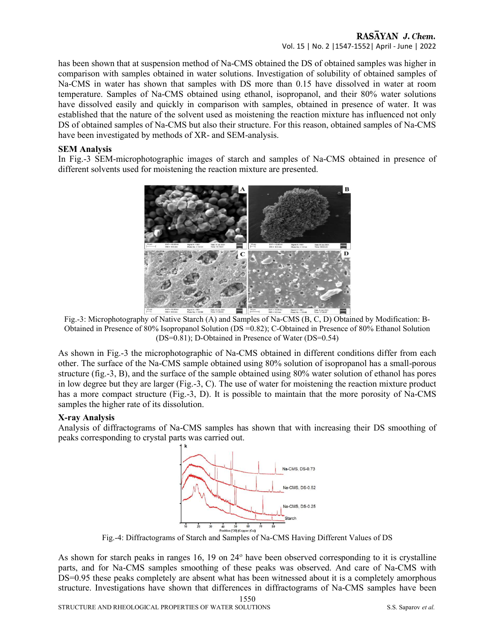## RASAYAN J. Chem. Vol. 15 | No. 2 |1547-1552| April - June | 2022

has been shown that at suspension method of Na-CMS obtained the DS of obtained samples was higher in comparison with samples obtained in water solutions. Investigation of solubility of obtained samples of Na-CMS in water has shown that samples with DS more than 0.15 have dissolved in water at room temperature. Samples of Na-CMS obtained using ethanol, isopropanol, and their 80% water solutions have dissolved easily and quickly in comparison with samples, obtained in presence of water. It was established that the nature of the solvent used as moistening the reaction mixture has influenced not only DS of obtained samples of Na-CMS but also their structure. For this reason, obtained samples of Na-CMS have been investigated by methods of XR- and SEM-analуsis.

## SEM Analуsis

In Fig.-3 SEM-microphotographic images of starch and samples of Na-CMS obtained in presence of different solvents used for moistening the reaction mixture are presented.



Fig.-3: Microphotography of Native Starch (A) and Samples of Na-CMS (B, C, D) Obtained by Modification: B-Obtained in Presence of 80% Isopropanol Solution (DS =0.82); C-Obtained in Presence of 80% Ethanol Solution (DS=0.81); D-Obtained in Presence of Water (DS=0.54)

As shown in Fig.-3 the microphotographic of Na-CMS obtained in different conditions differ from each other. The surface of the Na-CMS sample obtained using 80% solution of isopropanol has a small-porous structure (fig.-3, B), and the surface of the sample obtained using 80% water solution of ethanol has pores in low degree but they are larger (Fig.-3, C). The use of water for moistening the reaction mixture product has a more compact structure (Fig.-3, D). It is possible to maintain that the more porosity of Na-CMS samples the higher rate of its dissolution.

## X-ray Analysis

Analysis of diffractograms of Na-CMS samples has shown that with increasing their DS smoothing of peaks corresponding to crystal parts was carried out.



Fig.-4: Diffractograms of Starch and Samples of Na-CMS Having Different Values of DS

As shown for starch peaks in ranges 16, 19 on 24<sup>°</sup> have been observed corresponding to it is crystalline parts, and for Na-CMS samples smoothing of these peaks was observed. And care of Na-CMS with DS=0.95 these peaks completely are absent what has been witnessed about it is a completely amorphous structure. Investigations have shown that differences in diffractograms of Na-CMS samples have been

1550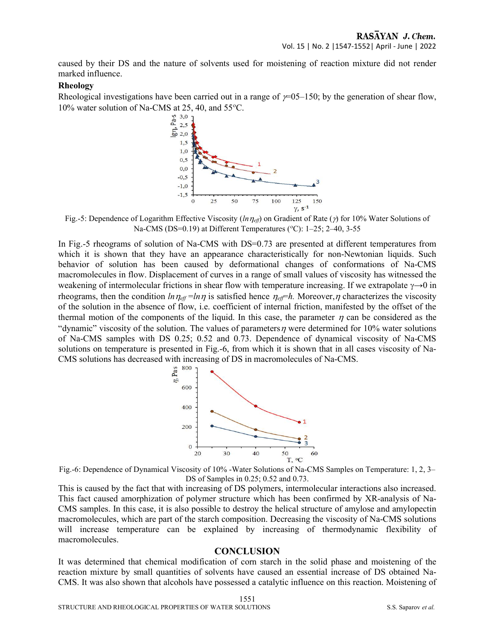caused by their DS and the nature of solvents used for moistening of reaction mixture did not render marked influence.

#### Rheology

Rheological investigations have been carried out in a range of  $\gamma$ =05–150; by the generation of shear flow, 10% water solution of Na-CMS at 25, 40, and 55°C.<br> $\frac{6}{50}$   $\frac{30}{25}$ 



Fig.-5: Dependence of Logarithm Effective Viscosity ( $ln \eta_{eff}$ ) on Gradient of Rate ( $\gamma$ ) for 10% Water Solutions of Na-CMS (DS=0.19) at Different Temperatures ( $\degree$ C): 1–25; 2–40, 3-55

In Fig.-5 rheograms of solution of Na-CMS with DS=0.73 are presented at different temperatures from which it is shown that they have an appearance characteristically for non-Newtonian liquids. Such behavior of solution has been caused by deformational changes of conformations of Na-CMS macromolecules in flow. Displacement of curves in a range of small values of viscosity has witnessed the weakening of intermolecular frictions in shear flow with temperature increasing. If we extrapolate  $\gamma \rightarrow 0$  in rheograms, then the condition  $ln \eta_{eff} = ln \eta$  is satisfied hence  $\eta_{eff} = h$ . Moreover,  $\eta$  characterizes the viscosity of the solution in the absence of flow, i.e. coefficient of internal friction, manifested by the offset of the thermal motion of the components of the liquid. In this case, the parameter  $\eta$  can be considered as the "dynamic" viscosity of the solution. The values of parameters  $\eta$  were determined for 10% water solutions of Na-CMS samples with DS 0.25; 0.52 and 0.73. Dependence of dynamical viscosity of Na-CMS solutions on temperature is presented in Fig.-6, from which it is shown that in all cases viscosity of Na-CMS solutions has decreased with increasing of DS in macromolecules of Na-CMS.



Fig.-6: Dependence of Dynamical Viscosity of 10% -Water Solutions of Na-CMS Samples on Temperature: 1, 2, 3– DS of Samples in 0.25; 0.52 and 0.73.

This is caused by the fact that with increasing of DS polymers, intermolecular interactions also increased. This fact caused amorphization of polymer structure which has been confirmed by XR-analysis of Na-CMS samples. In this case, it is also possible to destroy the helical structure of amylose and amylopectin macromolecules, which are part of the starch composition. Decreasing the viscosity of Na-CMS solutions will increase temperature can be explained by increasing of thermodynamic flexibility of macromolecules.

#### **CONCLUSION**

It was determined that chemical modification of corn starch in the solid phase and moistening of the reaction mixture by small quantities of solvents have caused an essential increase of DS obtained Na-CMS. It was also shown that alcohols have possessed a catalytic influence on this reaction. Moistening of